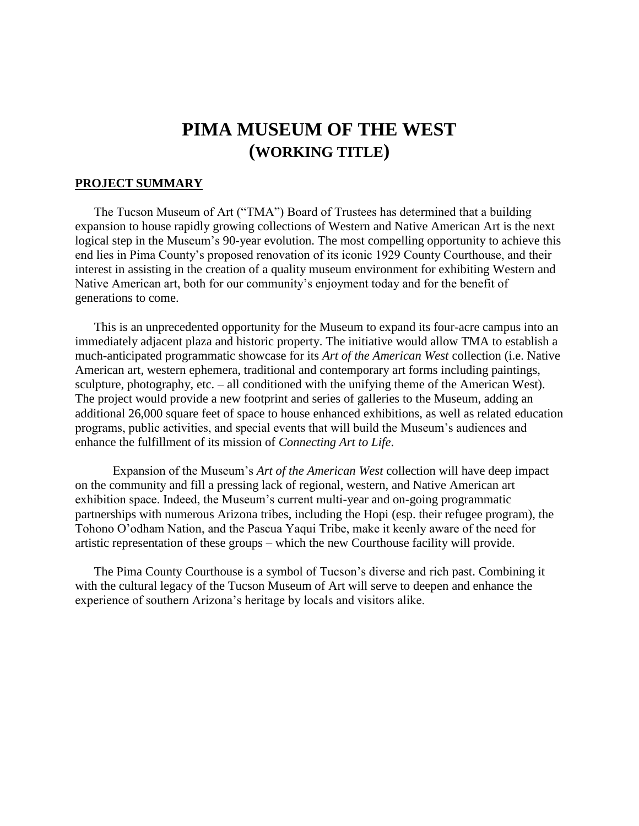# **PIMA MUSEUM OF THE WEST (WORKING TITLE)**

#### **PROJECT SUMMARY**

The Tucson Museum of Art ("TMA") Board of Trustees has determined that a building expansion to house rapidly growing collections of Western and Native American Art is the next logical step in the Museum's 90-year evolution. The most compelling opportunity to achieve this end lies in Pima County's proposed renovation of its iconic 1929 County Courthouse, and their interest in assisting in the creation of a quality museum environment for exhibiting Western and Native American art, both for our community's enjoyment today and for the benefit of generations to come.

This is an unprecedented opportunity for the Museum to expand its four-acre campus into an immediately adjacent plaza and historic property. The initiative would allow TMA to establish a much-anticipated programmatic showcase for its *Art of the American West* collection (i.e. Native American art, western ephemera, traditional and contemporary art forms including paintings, sculpture, photography, etc. – all conditioned with the unifying theme of the American West). The project would provide a new footprint and series of galleries to the Museum, adding an additional 26,000 square feet of space to house enhanced exhibitions, as well as related education programs, public activities, and special events that will build the Museum's audiences and enhance the fulfillment of its mission of *Connecting Art to Life*.

Expansion of the Museum's *Art of the American West* collection will have deep impact on the community and fill a pressing lack of regional, western, and Native American art exhibition space. Indeed, the Museum's current multi-year and on-going programmatic partnerships with numerous Arizona tribes, including the Hopi (esp. their refugee program), the Tohono O'odham Nation, and the Pascua Yaqui Tribe, make it keenly aware of the need for artistic representation of these groups – which the new Courthouse facility will provide.

The Pima County Courthouse is a symbol of Tucson's diverse and rich past. Combining it with the cultural legacy of the Tucson Museum of Art will serve to deepen and enhance the experience of southern Arizona's heritage by locals and visitors alike.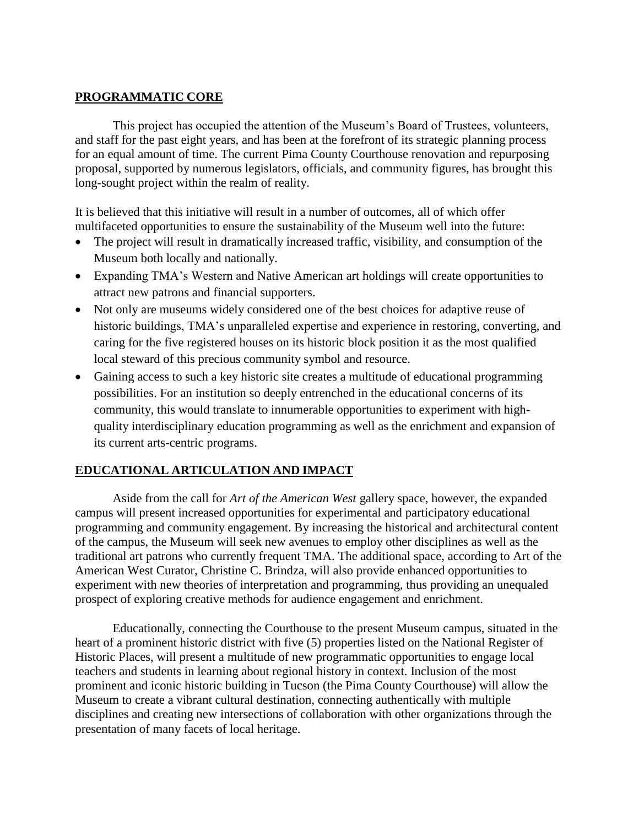#### **PROGRAMMATIC CORE**

This project has occupied the attention of the Museum's Board of Trustees, volunteers, and staff for the past eight years, and has been at the forefront of its strategic planning process for an equal amount of time. The current Pima County Courthouse renovation and repurposing proposal, supported by numerous legislators, officials, and community figures, has brought this long-sought project within the realm of reality.

It is believed that this initiative will result in a number of outcomes, all of which offer multifaceted opportunities to ensure the sustainability of the Museum well into the future:

- The project will result in dramatically increased traffic, visibility, and consumption of the Museum both locally and nationally.
- Expanding TMA's Western and Native American art holdings will create opportunities to attract new patrons and financial supporters.
- Not only are museums widely considered one of the best choices for adaptive reuse of historic buildings, TMA's unparalleled expertise and experience in restoring, converting, and caring for the five registered houses on its historic block position it as the most qualified local steward of this precious community symbol and resource.
- Gaining access to such a key historic site creates a multitude of educational programming possibilities. For an institution so deeply entrenched in the educational concerns of its community, this would translate to innumerable opportunities to experiment with highquality interdisciplinary education programming as well as the enrichment and expansion of its current arts-centric programs.

# **EDUCATIONAL ARTICULATION AND IMPACT**

Aside from the call for *Art of the American West* gallery space, however, the expanded campus will present increased opportunities for experimental and participatory educational programming and community engagement. By increasing the historical and architectural content of the campus, the Museum will seek new avenues to employ other disciplines as well as the traditional art patrons who currently frequent TMA. The additional space, according to Art of the American West Curator, Christine C. Brindza, will also provide enhanced opportunities to experiment with new theories of interpretation and programming, thus providing an unequaled prospect of exploring creative methods for audience engagement and enrichment.

Educationally, connecting the Courthouse to the present Museum campus, situated in the heart of a prominent historic district with five (5) properties listed on the National Register of Historic Places, will present a multitude of new programmatic opportunities to engage local teachers and students in learning about regional history in context. Inclusion of the most prominent and iconic historic building in Tucson (the Pima County Courthouse) will allow the Museum to create a vibrant cultural destination, connecting authentically with multiple disciplines and creating new intersections of collaboration with other organizations through the presentation of many facets of local heritage.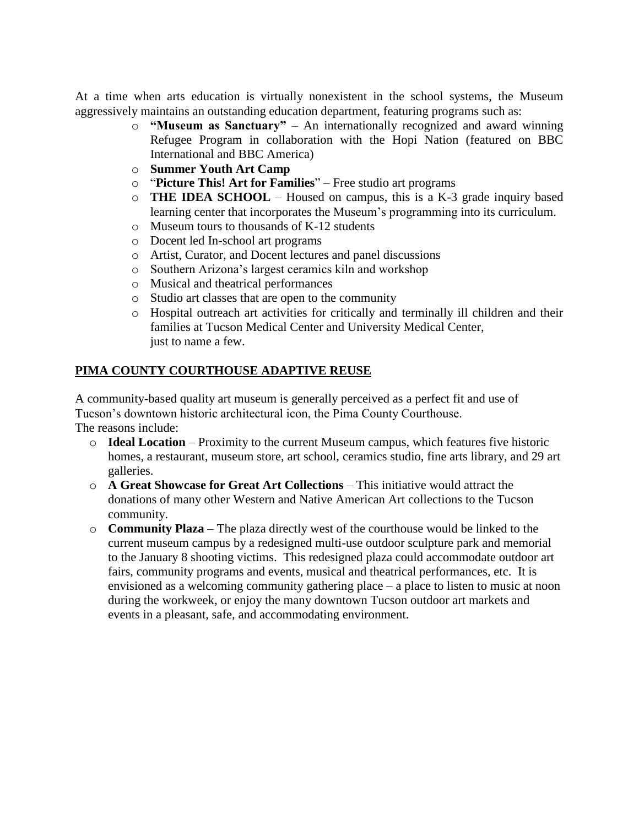At a time when arts education is virtually nonexistent in the school systems, the Museum aggressively maintains an outstanding education department, featuring programs such as:

- o **"Museum as Sanctuary"** An internationally recognized and award winning Refugee Program in collaboration with the Hopi Nation (featured on BBC International and BBC America)
- o **Summer Youth Art Camp**
- o "**Picture This! Art for Families**" Free studio art programs
- o **THE IDEA SCHOOL**  Housed on campus, this is a K-3 grade inquiry based learning center that incorporates the Museum's programming into its curriculum.
- o Museum tours to thousands of K-12 students
- o Docent led In-school art programs
- o Artist, Curator, and Docent lectures and panel discussions
- o Southern Arizona's largest ceramics kiln and workshop
- o Musical and theatrical performances
- o Studio art classes that are open to the community
- o Hospital outreach art activities for critically and terminally ill children and their families at Tucson Medical Center and University Medical Center, just to name a few.

# **PIMA COUNTY COURTHOUSE ADAPTIVE REUSE**

A community-based quality art museum is generally perceived as a perfect fit and use of Tucson's downtown historic architectural icon, the Pima County Courthouse. The reasons include:

- o **Ideal Location** Proximity to the current Museum campus, which features five historic homes, a restaurant, museum store, art school, ceramics studio, fine arts library, and 29 art galleries.
- o **A Great Showcase for Great Art Collections** This initiative would attract the donations of many other Western and Native American Art collections to the Tucson community.
- o **Community Plaza** The plaza directly west of the courthouse would be linked to the current museum campus by a redesigned multi-use outdoor sculpture park and memorial to the January 8 shooting victims. This redesigned plaza could accommodate outdoor art fairs, community programs and events, musical and theatrical performances, etc. It is envisioned as a welcoming community gathering place – a place to listen to music at noon during the workweek, or enjoy the many downtown Tucson outdoor art markets and events in a pleasant, safe, and accommodating environment.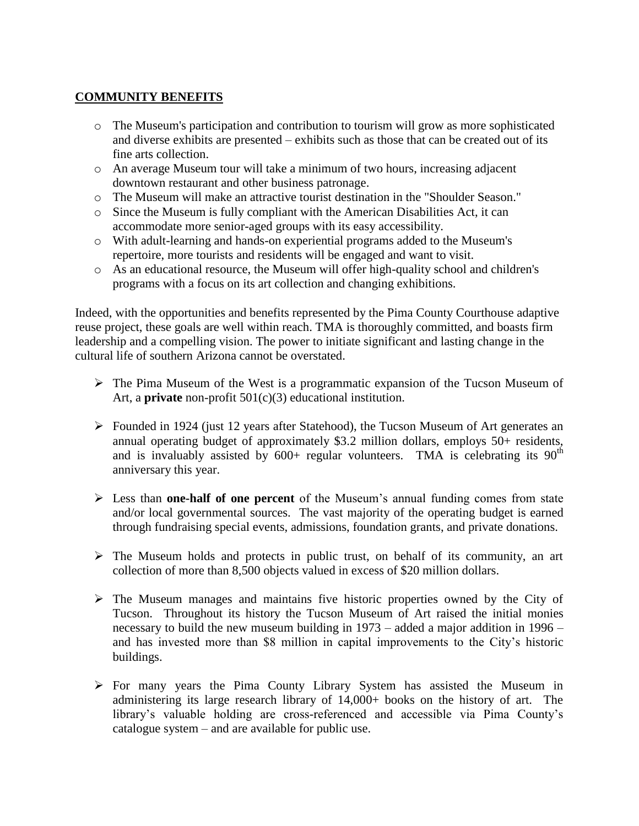# **COMMUNITY BENEFITS**

- o The Museum's participation and contribution to tourism will grow as more sophisticated and diverse exhibits are presented – exhibits such as those that can be created out of its fine arts collection.
- $\circ$  An average Museum tour will take a minimum of two hours, increasing adjacent downtown restaurant and other business patronage.
- o The Museum will make an attractive tourist destination in the "Shoulder Season."
- o Since the Museum is fully compliant with the American Disabilities Act, it can accommodate more senior-aged groups with its easy accessibility.
- o With adult-learning and hands-on experiential programs added to the Museum's repertoire, more tourists and residents will be engaged and want to visit.
- o As an educational resource, the Museum will offer high-quality school and children's programs with a focus on its art collection and changing exhibitions.

Indeed, with the opportunities and benefits represented by the Pima County Courthouse adaptive reuse project, these goals are well within reach. TMA is thoroughly committed, and boasts firm leadership and a compelling vision. The power to initiate significant and lasting change in the cultural life of southern Arizona cannot be overstated.

- $\triangleright$  The Pima Museum of the West is a programmatic expansion of the Tucson Museum of Art, a **private** non-profit 501(c)(3) educational institution.
- $\triangleright$  Founded in 1924 (just 12 years after Statehood), the Tucson Museum of Art generates an annual operating budget of approximately \$3.2 million dollars, employs 50+ residents, and is invaluably assisted by  $600+$  regular volunteers. TMA is celebrating its  $90<sup>th</sup>$ anniversary this year.
- Less than **one-half of one percent** of the Museum's annual funding comes from state and/or local governmental sources. The vast majority of the operating budget is earned through fundraising special events, admissions, foundation grants, and private donations.
- $\triangleright$  The Museum holds and protects in public trust, on behalf of its community, an art collection of more than 8,500 objects valued in excess of \$20 million dollars.
- $\triangleright$  The Museum manages and maintains five historic properties owned by the City of Tucson. Throughout its history the Tucson Museum of Art raised the initial monies necessary to build the new museum building in 1973 – added a major addition in 1996 – and has invested more than \$8 million in capital improvements to the City's historic buildings.
- $\triangleright$  For many years the Pima County Library System has assisted the Museum in administering its large research library of 14,000+ books on the history of art. The library's valuable holding are cross-referenced and accessible via Pima County's catalogue system – and are available for public use.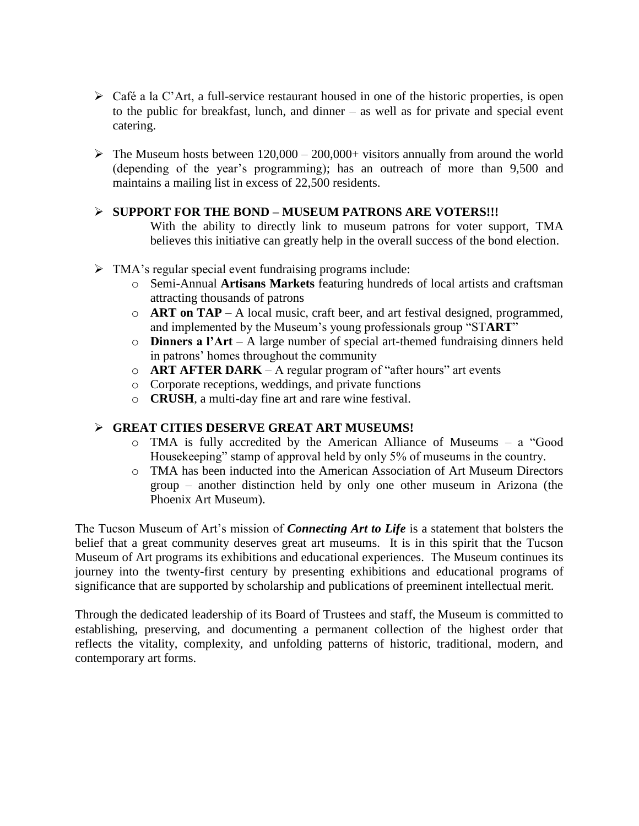- $\triangleright$  Café a la C'Art, a full-service restaurant housed in one of the historic properties, is open to the public for breakfast, lunch, and dinner – as well as for private and special event catering.
- $\triangleright$  The Museum hosts between 120,000 200,000+ visitors annually from around the world (depending of the year's programming); has an outreach of more than 9,500 and maintains a mailing list in excess of 22,500 residents.

#### **SUPPORT FOR THE BOND – MUSEUM PATRONS ARE VOTERS!!!**

With the ability to directly link to museum patrons for voter support, TMA believes this initiative can greatly help in the overall success of the bond election.

- TMA's regular special event fundraising programs include:
	- o Semi-Annual **Artisans Markets** featuring hundreds of local artists and craftsman attracting thousands of patrons
	- o **ART on TAP**  A local music, craft beer, and art festival designed, programmed, and implemented by the Museum's young professionals group "ST**ART**"
	- o **Dinners a l'Art** A large number of special art-themed fundraising dinners held in patrons' homes throughout the community
	- o **ART AFTER DARK** A regular program of "after hours" art events
	- o Corporate receptions, weddings, and private functions
	- o **CRUSH**, a multi-day fine art and rare wine festival.

# **GREAT CITIES DESERVE GREAT ART MUSEUMS!**

- o TMA is fully accredited by the American Alliance of Museums a "Good Housekeeping" stamp of approval held by only 5% of museums in the country.
- o TMA has been inducted into the American Association of Art Museum Directors group – another distinction held by only one other museum in Arizona (the Phoenix Art Museum).

The Tucson Museum of Art's mission of *Connecting Art to Life* is a statement that bolsters the belief that a great community deserves great art museums. It is in this spirit that the Tucson Museum of Art programs its exhibitions and educational experiences. The Museum continues its journey into the twenty-first century by presenting exhibitions and educational programs of significance that are supported by scholarship and publications of preeminent intellectual merit.

Through the dedicated leadership of its Board of Trustees and staff, the Museum is committed to establishing, preserving, and documenting a permanent collection of the highest order that reflects the vitality, complexity, and unfolding patterns of historic, traditional, modern, and contemporary art forms.